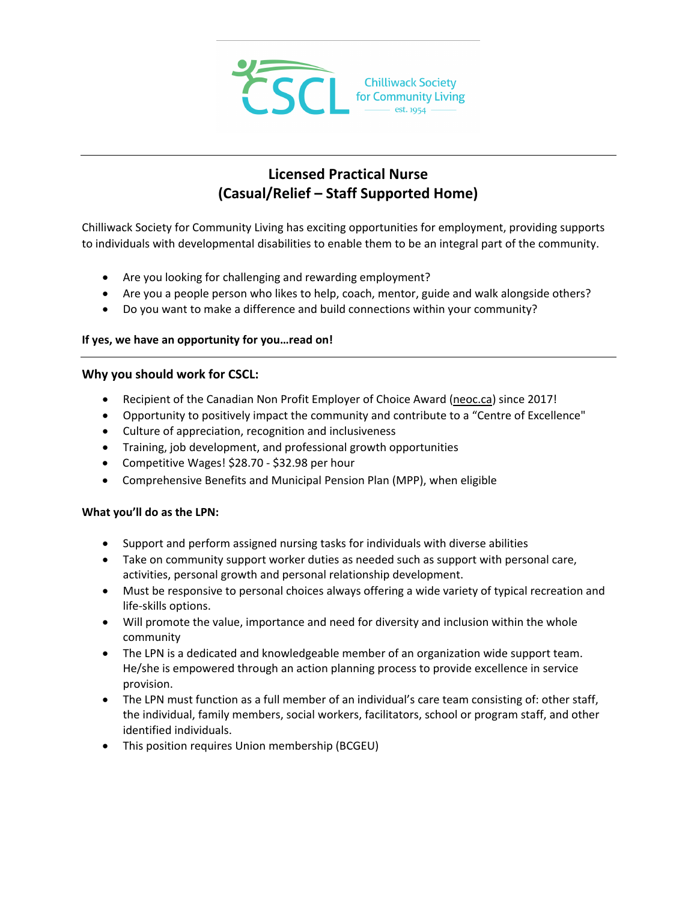

# **Licensed Practical Nurse (Casual/Relief – Staff Supported Home)**

Chilliwack Society for Community Living has exciting opportunities for employment, providing supports to individuals with developmental disabilities to enable them to be an integral part of the community.

- Are you looking for challenging and rewarding employment?
- Are you a people person who likes to help, coach, mentor, guide and walk alongside others?
- Do you want to make a difference and build connections within your community?

### **If yes, we have an opportunity for you…read on!**

#### **Why you should work for CSCL:**

- Recipient of the Canadian Non Profit Employer of Choice Award [\(neoc.ca\)](http://neoc.ca/) since 2017!
- Opportunity to positively impact the community and contribute to a "Centre of Excellence"
- Culture of appreciation, recognition and inclusiveness
- Training, job development, and professional growth opportunities
- Competitive Wages! \$28.70 \$32.98 per hour
- Comprehensive Benefits and Municipal Pension Plan (MPP), when eligible

### **What you'll do as the LPN:**

- Support and perform assigned nursing tasks for individuals with diverse abilities
- Take on community support worker duties as needed such as support with personal care, activities, personal growth and personal relationship development.
- Must be responsive to personal choices always offering a wide variety of typical recreation and life-skills options.
- Will promote the value, importance and need for diversity and inclusion within the whole community
- The LPN is a dedicated and knowledgeable member of an organization wide support team. He/she is empowered through an action planning process to provide excellence in service provision.
- The LPN must function as a full member of an individual's care team consisting of: other staff, the individual, family members, social workers, facilitators, school or program staff, and other identified individuals.
- This position requires Union membership (BCGEU)